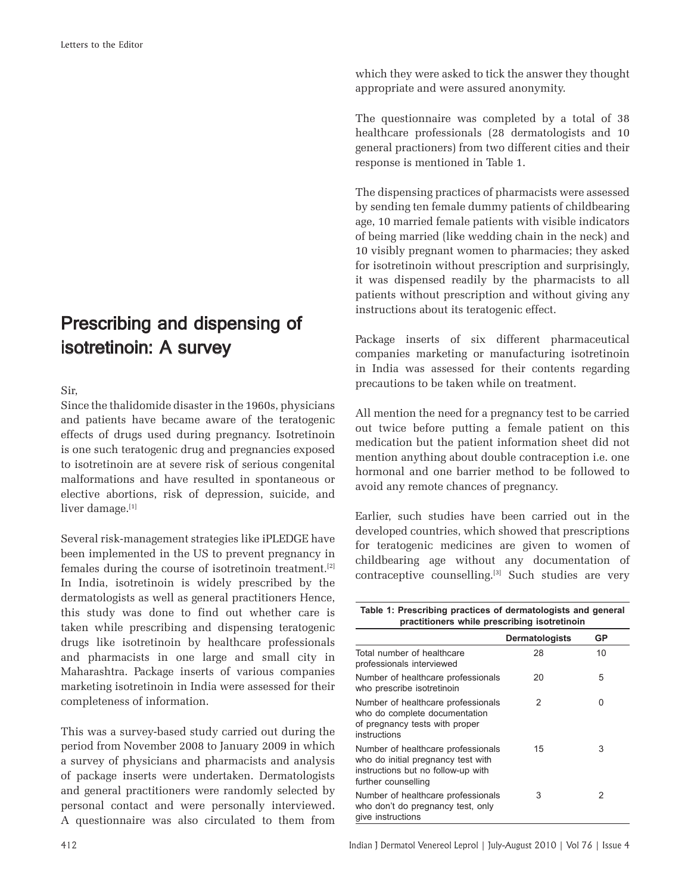## Prescribing and dispensing of isotretinoin: A survey

Sir,

Since the thalidomide disaster in the 1960s, physicians and patients have became aware of the teratogenic effects of drugs used during pregnancy. Isotretinoin is one such teratogenic drug and pregnancies exposed to isotretinoin are at severe risk of serious congenital malformations and have resulted in spontaneous or elective abortions, risk of depression, suicide, and liver damage.[1]

Several risk-management strategies like iPLEDGE have been implemented in the US to prevent pregnancy in females during the course of isotretinoin treatment.[2] In India, isotretinoin is widely prescribed by the dermatologists as well as general practitioners Hence, this study was done to find out whether care is taken while prescribing and dispensing teratogenic drugs like isotretinoin by healthcare professionals and pharmacists in one large and small city in Maharashtra. Package inserts of various companies marketing isotretinoin in India were assessed for their completeness of information.

This was a survey-based study carried out during the period from November 2008 to January 2009 in which a survey of physicians and pharmacists and analysis of package inserts were undertaken. Dermatologists and general practitioners were randomly selected by personal contact and were personally interviewed. A questionnaire was also circulated to them from which they were asked to tick the answer they thought appropriate and were assured anonymity.

The questionnaire was completed by a total of 38 healthcare professionals (28 dermatologists and 10 general practioners) from two different cities and their response is mentioned in Table 1.

The dispensing practices of pharmacists were assessed by sending ten female dummy patients of childbearing age, 10 married female patients with visible indicators of being married (like wedding chain in the neck) and 10 visibly pregnant women to pharmacies; they asked for isotretinoin without prescription and surprisingly, it was dispensed readily by the pharmacists to all patients without prescription and without giving any instructions about its teratogenic effect.

Package inserts of six different pharmaceutical companies marketing or manufacturing isotretinoin in India was assessed for their contents regarding precautions to be taken while on treatment.

All mention the need for a pregnancy test to be carried out twice before putting a female patient on this medication but the patient information sheet did not mention anything about double contraception i.e. one hormonal and one barrier method to be followed to avoid any remote chances of pregnancy.

Earlier, such studies have been carried out in the developed countries, which showed that prescriptions for teratogenic medicines are given to women of childbearing age without any documentation of contraceptive counselling.[3] Such studies are very

**Table 1: Prescribing practices of dermatologists and general practitioners while prescribing isotretinoin**

|                                                                                                                                       | Dermatologists | GP |
|---------------------------------------------------------------------------------------------------------------------------------------|----------------|----|
| Total number of healthcare<br>professionals interviewed                                                                               | 28             | 10 |
| Number of healthcare professionals<br>who prescribe isotretinoin                                                                      | 20             | 5  |
| Number of healthcare professionals<br>who do complete documentation<br>of pregnancy tests with proper<br>instructions                 | 2              | 0  |
| Number of healthcare professionals<br>who do initial pregnancy test with<br>instructions but no follow-up with<br>further counselling | 15             | 3  |
| Number of healthcare professionals<br>who don't do pregnancy test, only<br>give instructions                                          | 3              | 2  |